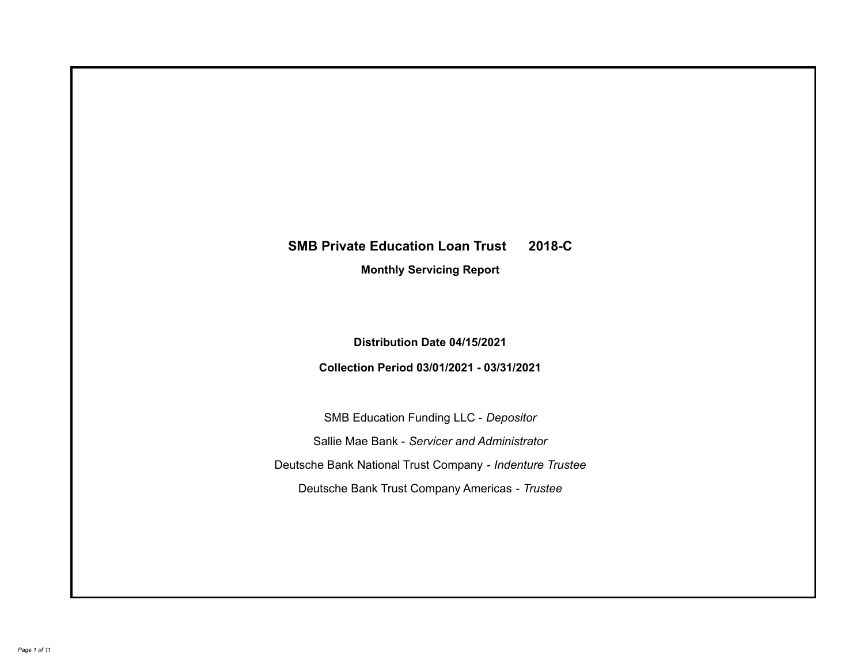# **SMB Private Education Loan Trust 2018-C**

**Monthly Servicing Report**

**Distribution Date 04/15/2021**

**Collection Period 03/01/2021 - 03/31/2021**

SMB Education Funding LLC - *Depositor* Sallie Mae Bank - *Servicer and Administrator* Deutsche Bank National Trust Company - *Indenture Trustee* Deutsche Bank Trust Company Americas - *Trustee*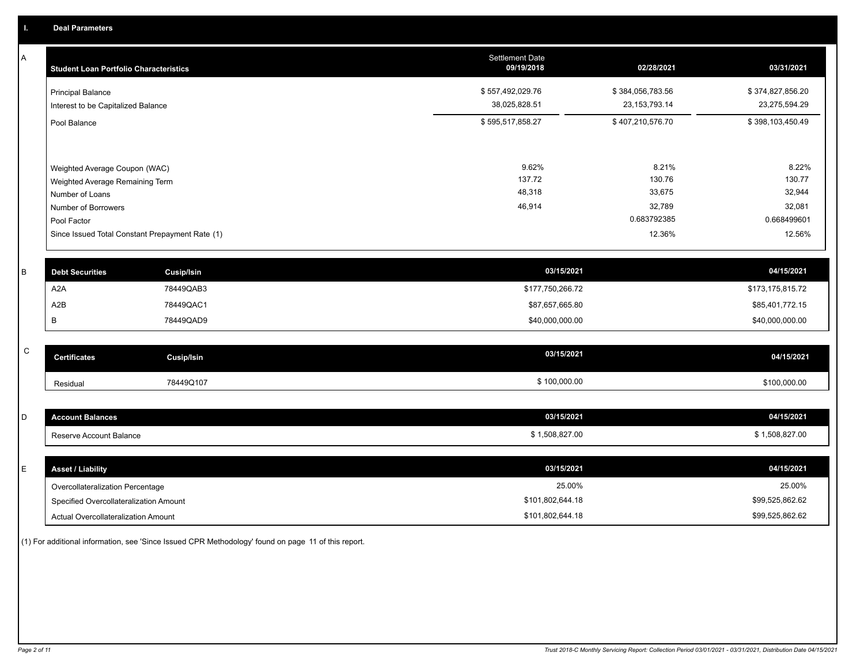A

| A            | <b>Student Loan Portfolio Characteristics</b>   |                   | <b>Settlement Date</b><br>09/19/2018 | 02/28/2021       | 03/31/2021       |
|--------------|-------------------------------------------------|-------------------|--------------------------------------|------------------|------------------|
|              | <b>Principal Balance</b>                        |                   | \$557,492,029.76                     | \$384,056,783.56 | \$374,827,856.20 |
|              | Interest to be Capitalized Balance              |                   | 38,025,828.51                        | 23, 153, 793. 14 | 23,275,594.29    |
|              | Pool Balance                                    |                   | \$595,517,858.27                     | \$407,210,576.70 | \$398,103,450.49 |
|              |                                                 |                   |                                      |                  |                  |
|              | Weighted Average Coupon (WAC)                   |                   | 9.62%                                | 8.21%            | 8.22%            |
|              | Weighted Average Remaining Term                 |                   | 137.72                               | 130.76           | 130.77           |
|              | Number of Loans                                 |                   | 48,318                               | 33,675           | 32,944           |
|              | Number of Borrowers                             |                   | 46,914                               | 32,789           | 32,081           |
|              | Pool Factor                                     |                   |                                      | 0.683792385      | 0.668499601      |
|              | Since Issued Total Constant Prepayment Rate (1) |                   |                                      | 12.36%           | 12.56%           |
|              |                                                 |                   |                                      |                  |                  |
| B            | <b>Debt Securities</b>                          | <b>Cusip/Isin</b> | 03/15/2021                           |                  | 04/15/2021       |
|              | A <sub>2</sub> A                                | 78449QAB3         | \$177,750,266.72                     |                  | \$173,175,815.72 |
|              | A2B                                             | 78449QAC1         | \$87,657,665.80                      |                  | \$85,401,772.15  |
|              | B                                               | 78449QAD9         | \$40,000,000.00                      |                  | \$40,000,000.00  |
|              |                                                 |                   |                                      |                  |                  |
| $\mathsf{C}$ | <b>Certificates</b>                             | <b>Cusip/Isin</b> | 03/15/2021                           |                  | 04/15/2021       |
|              | Residual                                        | 78449Q107         | \$100,000.00                         |                  | \$100,000.00     |
|              |                                                 |                   |                                      |                  |                  |
| D            | <b>Account Balances</b>                         |                   | 03/15/2021                           |                  | 04/15/2021       |
|              | Reserve Account Balance                         |                   | \$1,508,827.00                       |                  | \$1,508,827.00   |
|              |                                                 |                   |                                      |                  |                  |
| E            | <b>Asset / Liability</b>                        |                   | 03/15/2021                           |                  | 04/15/2021       |
|              | Overcollateralization Percentage                |                   | 25.00%                               |                  | 25.00%           |

Specified Overcollateralization Amount

Actual Overcollateralization Amount \$101,802,644.18

(1) For additional information, see 'Since Issued CPR Methodology' found on page 11 of this report.

\$99,525,862.62 \$99,525,862.62

\$101,802,644.18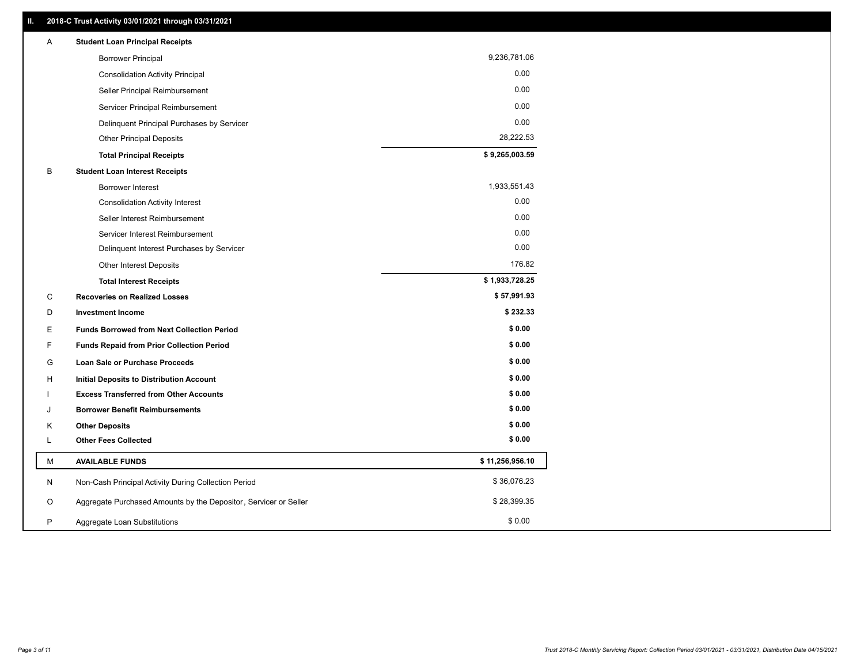| 9,236,781.06<br><b>Borrower Principal</b>                             |              |
|-----------------------------------------------------------------------|--------------|
|                                                                       |              |
| <b>Consolidation Activity Principal</b>                               | 0.00         |
| Seller Principal Reimbursement                                        | 0.00         |
| Servicer Principal Reimbursement                                      | 0.00         |
| Delinquent Principal Purchases by Servicer                            | 0.00         |
| <b>Other Principal Deposits</b>                                       | 28,222.53    |
| \$9,265,003.59<br><b>Total Principal Receipts</b>                     |              |
| В<br><b>Student Loan Interest Receipts</b>                            |              |
| <b>Borrower Interest</b>                                              | 1,933,551.43 |
| <b>Consolidation Activity Interest</b>                                | 0.00         |
| Seller Interest Reimbursement                                         | 0.00         |
| Servicer Interest Reimbursement                                       | 0.00         |
| Delinquent Interest Purchases by Servicer                             | 0.00         |
| <b>Other Interest Deposits</b>                                        | 176.82       |
| \$1,933,728.25<br><b>Total Interest Receipts</b>                      |              |
| C<br><b>Recoveries on Realized Losses</b>                             | \$57,991.93  |
| D<br><b>Investment Income</b>                                         | \$232.33     |
| E.<br><b>Funds Borrowed from Next Collection Period</b>               | \$0.00       |
| F<br><b>Funds Repaid from Prior Collection Period</b>                 | \$0.00       |
| G<br>Loan Sale or Purchase Proceeds                                   | \$0.00       |
| H<br><b>Initial Deposits to Distribution Account</b>                  | \$0.00       |
| <b>Excess Transferred from Other Accounts</b>                         | \$0.00       |
| <b>Borrower Benefit Reimbursements</b><br>J                           | \$0.00       |
| <b>Other Deposits</b><br>Κ                                            | \$0.00       |
| <b>Other Fees Collected</b><br>L                                      | \$0.00       |
| \$11,256,956.10<br><b>AVAILABLE FUNDS</b><br>М                        |              |
| Non-Cash Principal Activity During Collection Period<br>N             | \$36,076.23  |
| Aggregate Purchased Amounts by the Depositor, Servicer or Seller<br>O | \$28,399.35  |
| P<br>Aggregate Loan Substitutions                                     | \$0.00       |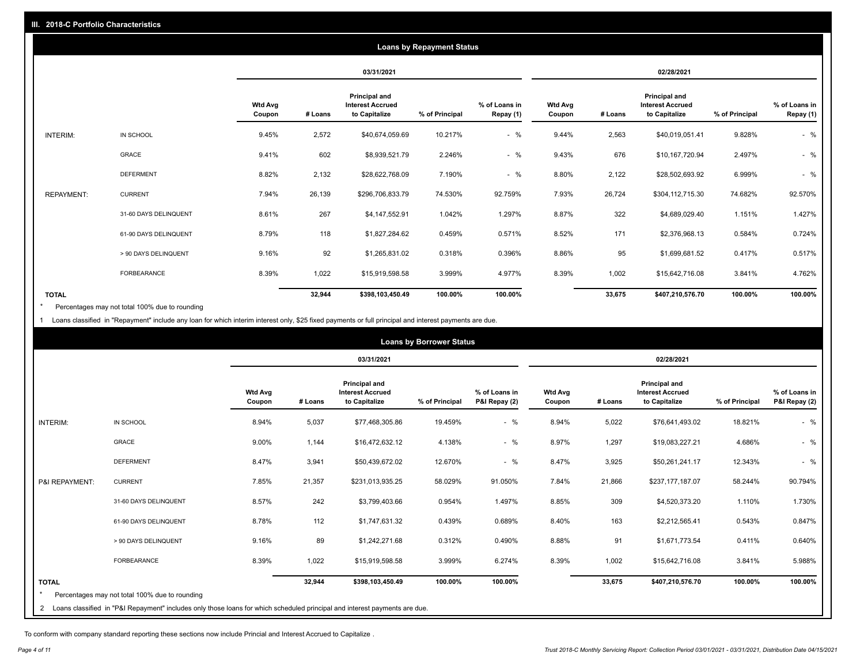|                   | <b>Loans by Repayment Status</b> |                          |            |                                                           |                |                            |                   |         |                                                           |                |                            |
|-------------------|----------------------------------|--------------------------|------------|-----------------------------------------------------------|----------------|----------------------------|-------------------|---------|-----------------------------------------------------------|----------------|----------------------------|
|                   |                                  |                          | 03/31/2021 |                                                           |                | 02/28/2021                 |                   |         |                                                           |                |                            |
|                   |                                  | <b>Wtd Avg</b><br>Coupon | # Loans    | Principal and<br><b>Interest Accrued</b><br>to Capitalize | % of Principal | % of Loans in<br>Repay (1) | Wtd Avg<br>Coupon | # Loans | Principal and<br><b>Interest Accrued</b><br>to Capitalize | % of Principal | % of Loans in<br>Repay (1) |
| INTERIM:          | IN SCHOOL                        | 9.45%                    | 2,572      | \$40,674,059.69                                           | 10.217%        | $-$ %                      | 9.44%             | 2,563   | \$40,019,051.41                                           | 9.828%         | $-$ %                      |
|                   | GRACE                            | 9.41%                    | 602        | \$8,939,521.79                                            | 2.246%         | $-$ %                      | 9.43%             | 676     | \$10,167,720.94                                           | 2.497%         | $-$ %                      |
|                   | <b>DEFERMENT</b>                 | 8.82%                    | 2,132      | \$28,622,768.09                                           | 7.190%         | $-$ %                      | 8.80%             | 2,122   | \$28,502,693.92                                           | 6.999%         | $-$ %                      |
| <b>REPAYMENT:</b> | <b>CURRENT</b>                   | 7.94%                    | 26,139     | \$296,706,833.79                                          | 74.530%        | 92.759%                    | 7.93%             | 26,724  | \$304,112,715.30                                          | 74.682%        | 92.570%                    |
|                   | 31-60 DAYS DELINQUENT            | 8.61%                    | 267        | \$4,147,552.91                                            | 1.042%         | 1.297%                     | 8.87%             | 322     | \$4,689,029.40                                            | 1.151%         | 1.427%                     |
|                   | 61-90 DAYS DELINQUENT            | 8.79%                    | 118        | \$1,827,284.62                                            | 0.459%         | 0.571%                     | 8.52%             | 171     | \$2,376,968.13                                            | 0.584%         | 0.724%                     |
|                   | > 90 DAYS DELINQUENT             | 9.16%                    | 92         | \$1,265,831.02                                            | 0.318%         | 0.396%                     | 8.86%             | 95      | \$1,699,681.52                                            | 0.417%         | 0.517%                     |
|                   | <b>FORBEARANCE</b>               | 8.39%                    | 1,022      | \$15,919,598.58                                           | 3.999%         | 4.977%                     | 8.39%             | 1,002   | \$15,642,716.08                                           | 3.841%         | 4.762%                     |
| <b>TOTAL</b>      |                                  |                          | 32,944     | \$398,103,450.49                                          | 100.00%        | 100.00%                    |                   | 33,675  | \$407,210,576.70                                          | 100.00%        | 100.00%                    |

Percentages may not total 100% due to rounding \*

1 Loans classified in "Repayment" include any loan for which interim interest only, \$25 fixed payments or full principal and interest payments are due.

|                 | <b>Loans by Borrower Status</b>                                                                                              |                          |         |                                                                  |                |                                |                          |         |                                                                  |                |                                |
|-----------------|------------------------------------------------------------------------------------------------------------------------------|--------------------------|---------|------------------------------------------------------------------|----------------|--------------------------------|--------------------------|---------|------------------------------------------------------------------|----------------|--------------------------------|
|                 |                                                                                                                              |                          |         | 03/31/2021                                                       |                |                                | 02/28/2021               |         |                                                                  |                |                                |
|                 |                                                                                                                              | <b>Wtd Avg</b><br>Coupon | # Loans | <b>Principal and</b><br><b>Interest Accrued</b><br>to Capitalize | % of Principal | % of Loans in<br>P&I Repay (2) | <b>Wtd Avg</b><br>Coupon | # Loans | <b>Principal and</b><br><b>Interest Accrued</b><br>to Capitalize | % of Principal | % of Loans in<br>P&I Repay (2) |
| <b>INTERIM:</b> | IN SCHOOL                                                                                                                    | 8.94%                    | 5,037   | \$77,468,305.86                                                  | 19.459%        | $-$ %                          | 8.94%                    | 5,022   | \$76,641,493.02                                                  | 18.821%        | $-$ %                          |
|                 | <b>GRACE</b>                                                                                                                 | 9.00%                    | 1,144   | \$16,472,632.12                                                  | 4.138%         | $-$ %                          | 8.97%                    | 1,297   | \$19,083,227.21                                                  | 4.686%         | $-$ %                          |
|                 | <b>DEFERMENT</b>                                                                                                             | 8.47%                    | 3,941   | \$50,439,672.02                                                  | 12.670%        | $-$ %                          | 8.47%                    | 3,925   | \$50,261,241.17                                                  | 12.343%        | $-$ %                          |
| P&I REPAYMENT:  | <b>CURRENT</b>                                                                                                               | 7.85%                    | 21,357  | \$231,013,935.25                                                 | 58.029%        | 91.050%                        | 7.84%                    | 21,866  | \$237,177,187.07                                                 | 58.244%        | 90.794%                        |
|                 | 31-60 DAYS DELINQUENT                                                                                                        | 8.57%                    | 242     | \$3,799,403.66                                                   | 0.954%         | 1.497%                         | 8.85%                    | 309     | \$4,520,373.20                                                   | 1.110%         | 1.730%                         |
|                 | 61-90 DAYS DELINQUENT                                                                                                        | 8.78%                    | 112     | \$1,747,631.32                                                   | 0.439%         | 0.689%                         | 8.40%                    | 163     | \$2,212,565.41                                                   | 0.543%         | 0.847%                         |
|                 | > 90 DAYS DELINQUENT                                                                                                         | 9.16%                    | 89      | \$1,242,271.68                                                   | 0.312%         | 0.490%                         | 8.88%                    | 91      | \$1,671,773.54                                                   | 0.411%         | 0.640%                         |
|                 | <b>FORBEARANCE</b>                                                                                                           | 8.39%                    | 1,022   | \$15,919,598.58                                                  | 3.999%         | 6.274%                         | 8.39%                    | 1,002   | \$15,642,716.08                                                  | 3.841%         | 5.988%                         |
| <b>TOTAL</b>    | Percentages may not total 100% due to rounding                                                                               |                          | 32,944  | \$398,103,450.49                                                 | 100.00%        | 100.00%                        |                          | 33,675  | \$407,210,576.70                                                 | 100.00%        | 100.00%                        |
|                 | 2 Loans classified in "P&I Repayment" includes only those loans for which scheduled principal and interest payments are due. |                          |         |                                                                  |                |                                |                          |         |                                                                  |                |                                |

To conform with company standard reporting these sections now include Princial and Interest Accrued to Capitalize .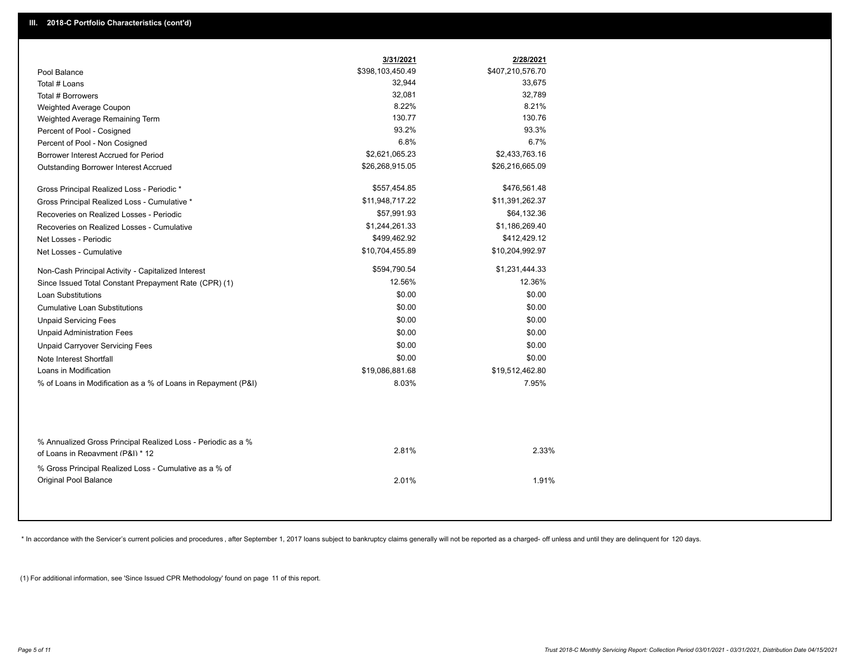|                                                                                                  | 3/31/2021        | 2/28/2021        |  |
|--------------------------------------------------------------------------------------------------|------------------|------------------|--|
| Pool Balance                                                                                     | \$398,103,450.49 | \$407,210,576.70 |  |
| Total # Loans                                                                                    | 32,944           | 33,675           |  |
| Total # Borrowers                                                                                | 32,081           | 32,789           |  |
| Weighted Average Coupon                                                                          | 8.22%            | 8.21%            |  |
| Weighted Average Remaining Term                                                                  | 130.77           | 130.76           |  |
| Percent of Pool - Cosigned                                                                       | 93.2%            | 93.3%            |  |
| Percent of Pool - Non Cosigned                                                                   | 6.8%             | 6.7%             |  |
| Borrower Interest Accrued for Period                                                             | \$2,621,065.23   | \$2,433,763.16   |  |
| Outstanding Borrower Interest Accrued                                                            | \$26,268,915.05  | \$26,216,665.09  |  |
| Gross Principal Realized Loss - Periodic *                                                       | \$557,454.85     | \$476,561.48     |  |
| Gross Principal Realized Loss - Cumulative *                                                     | \$11,948,717.22  | \$11,391,262.37  |  |
| Recoveries on Realized Losses - Periodic                                                         | \$57,991.93      | \$64,132.36      |  |
| Recoveries on Realized Losses - Cumulative                                                       | \$1,244,261.33   | \$1,186,269.40   |  |
| Net Losses - Periodic                                                                            | \$499,462.92     | \$412,429.12     |  |
| Net Losses - Cumulative                                                                          | \$10,704,455.89  | \$10,204,992.97  |  |
| Non-Cash Principal Activity - Capitalized Interest                                               | \$594,790.54     | \$1,231,444.33   |  |
| Since Issued Total Constant Prepayment Rate (CPR) (1)                                            | 12.56%           | 12.36%           |  |
| <b>Loan Substitutions</b>                                                                        | \$0.00           | \$0.00           |  |
| <b>Cumulative Loan Substitutions</b>                                                             | \$0.00           | \$0.00           |  |
| <b>Unpaid Servicing Fees</b>                                                                     | \$0.00           | \$0.00           |  |
| <b>Unpaid Administration Fees</b>                                                                | \$0.00           | \$0.00           |  |
| <b>Unpaid Carryover Servicing Fees</b>                                                           | \$0.00           | \$0.00           |  |
| Note Interest Shortfall                                                                          | \$0.00           | \$0.00           |  |
| Loans in Modification                                                                            | \$19,086,881.68  | \$19,512,462.80  |  |
| % of Loans in Modification as a % of Loans in Repayment (P&I)                                    | 8.03%            | 7.95%            |  |
|                                                                                                  |                  |                  |  |
| % Annualized Gross Principal Realized Loss - Periodic as a %<br>of Loans in Repayment (P&I) * 12 | 2.81%            | 2.33%            |  |
| % Gross Principal Realized Loss - Cumulative as a % of                                           |                  |                  |  |
| Original Pool Balance                                                                            | 2.01%            | 1.91%            |  |

\* In accordance with the Servicer's current policies and procedures, after September 1, 2017 loans subject to bankruptcy claims generally will not be reported as a charged- off unless and until they are delinquent for 120

(1) For additional information, see 'Since Issued CPR Methodology' found on page 11 of this report.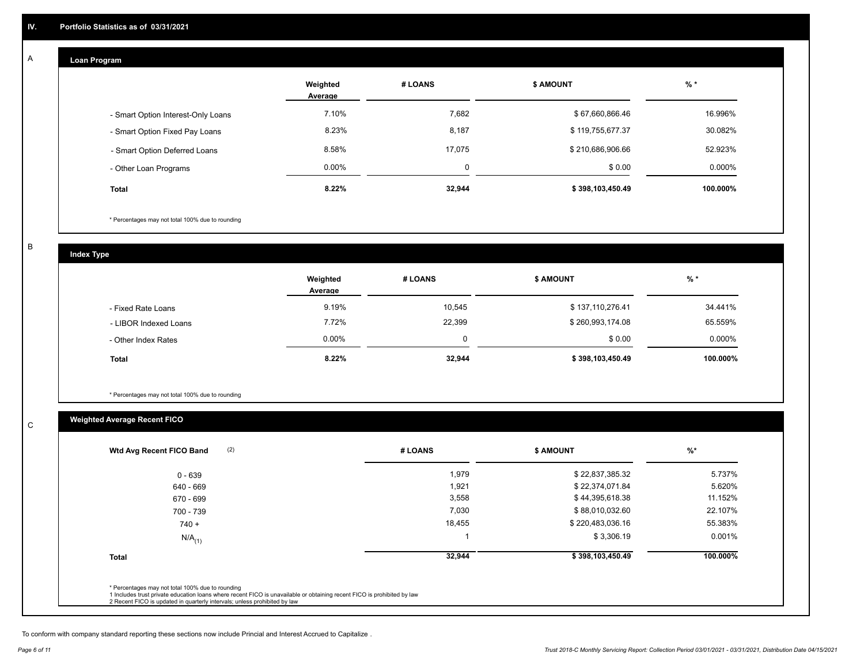## **Loan Program**

A

|                                    | Weighted<br>Average | # LOANS | <b>\$ AMOUNT</b> | $%$ *    |
|------------------------------------|---------------------|---------|------------------|----------|
| - Smart Option Interest-Only Loans | 7.10%               | 7,682   | \$67,660,866.46  | 16.996%  |
| - Smart Option Fixed Pay Loans     | 8.23%               | 8,187   | \$119,755,677.37 | 30.082%  |
| - Smart Option Deferred Loans      | 8.58%               | 17.075  | \$210,686,906.66 | 52.923%  |
| - Other Loan Programs              | $0.00\%$            | 0       | \$0.00           | 0.000%   |
| <b>Total</b>                       | 8.22%               | 32,944  | \$398,103,450.49 | 100.000% |

\* Percentages may not total 100% due to rounding

B

C

**Index Type**

|                       | Weighted<br>Average | # LOANS | <b>S AMOUNT</b>  | $%$ *    |
|-----------------------|---------------------|---------|------------------|----------|
| - Fixed Rate Loans    | 9.19%               | 10,545  | \$137,110,276.41 | 34.441%  |
| - LIBOR Indexed Loans | 7.72%               | 22,399  | \$260,993,174.08 | 65.559%  |
| - Other Index Rates   | $0.00\%$            |         | \$0.00           | 0.000%   |
| Total                 | 8.22%               | 32,944  | \$398,103,450.49 | 100.000% |

\* Percentages may not total 100% due to rounding

# **Weighted Average Recent FICO**

| $0 - 639$            | 1,979  | \$22,837,385.32  | 5.737%   |
|----------------------|--------|------------------|----------|
| 640 - 669            | 1,921  | \$22,374,071.84  | 5.620%   |
| 670 - 699            | 3,558  | \$44,395,618.38  | 11.152%  |
| 700 - 739            | 7,030  | \$88,010,032.60  | 22.107%  |
| $740 +$              | 18,455 | \$220,483,036.16 | 55.383%  |
| $N/A$ <sub>(1)</sub> |        | \$3,306.19       | 0.001%   |
| <b>Total</b>         | 32,944 | \$398,103,450.49 | 100.000% |
|                      |        |                  |          |

To conform with company standard reporting these sections now include Princial and Interest Accrued to Capitalize .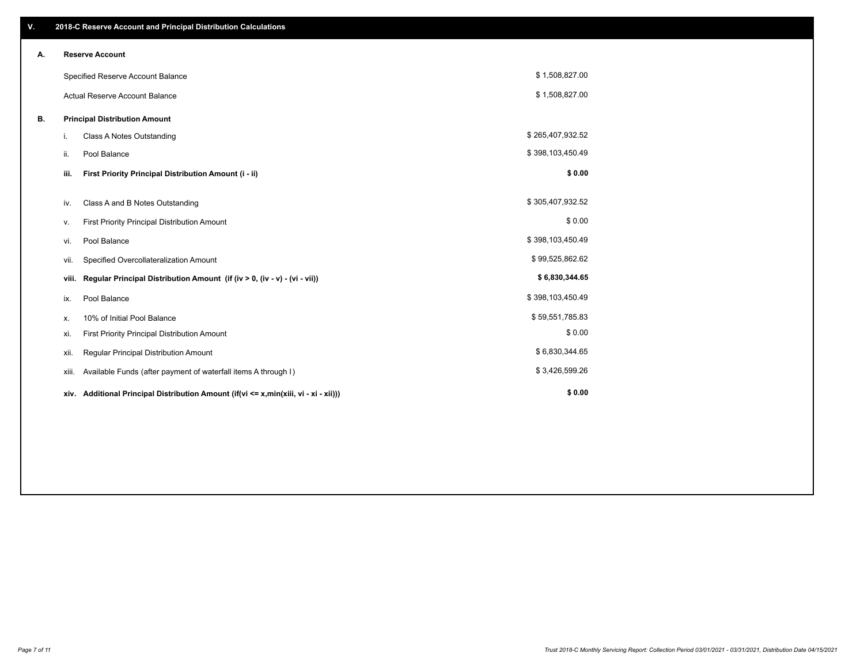| V. |       | 2018-C Reserve Account and Principal Distribution Calculations                       |                  |  |
|----|-------|--------------------------------------------------------------------------------------|------------------|--|
| А. |       | <b>Reserve Account</b>                                                               |                  |  |
|    |       | Specified Reserve Account Balance                                                    | \$1,508,827.00   |  |
|    |       | <b>Actual Reserve Account Balance</b>                                                | \$1,508,827.00   |  |
| В. |       | <b>Principal Distribution Amount</b>                                                 |                  |  |
|    | i.    | <b>Class A Notes Outstanding</b>                                                     | \$265,407,932.52 |  |
|    | ii.   | Pool Balance                                                                         | \$398,103,450.49 |  |
|    | iii.  | First Priority Principal Distribution Amount (i - ii)                                | \$0.00           |  |
|    | iv.   | Class A and B Notes Outstanding                                                      | \$305,407,932.52 |  |
|    | v.    | First Priority Principal Distribution Amount                                         | \$0.00           |  |
|    | vi.   | Pool Balance                                                                         | \$398,103,450.49 |  |
|    | vii.  | Specified Overcollateralization Amount                                               | \$99,525,862.62  |  |
|    | viii. | Regular Principal Distribution Amount (if (iv > 0, (iv - v) - (vi - vii))            | \$6,830,344.65   |  |
|    | ix.   | Pool Balance                                                                         | \$398,103,450.49 |  |
|    | х.    | 10% of Initial Pool Balance                                                          | \$59,551,785.83  |  |
|    | xi.   | First Priority Principal Distribution Amount                                         | \$0.00           |  |
|    | xii.  | Regular Principal Distribution Amount                                                | \$6,830,344.65   |  |
|    | xiii. | Available Funds (after payment of waterfall items A through I)                       | \$3,426,599.26   |  |
|    |       | xiv. Additional Principal Distribution Amount (if(vi <= x,min(xiii, vi - xi - xii))) | \$0.00           |  |
|    |       |                                                                                      |                  |  |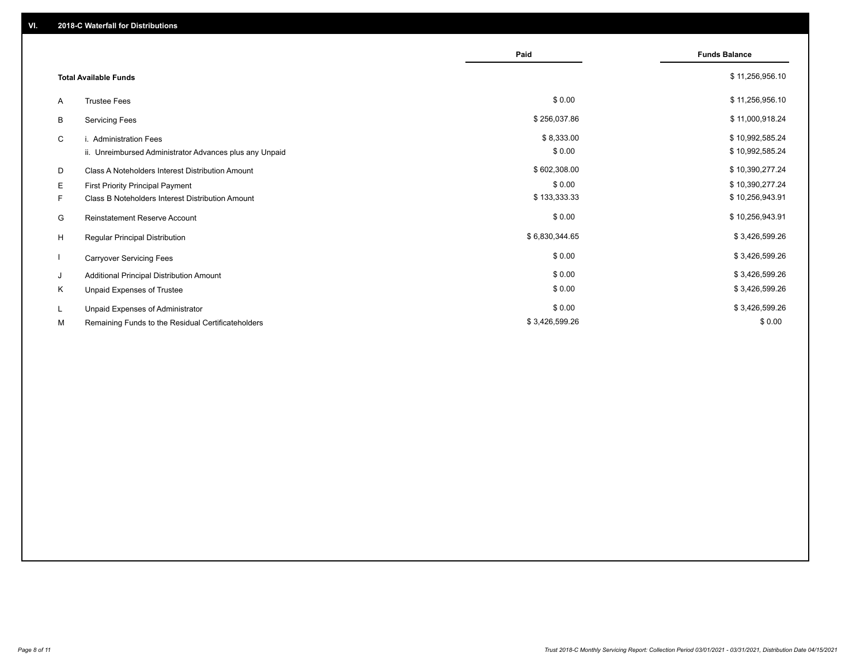|    |                                                         | Paid           | <b>Funds Balance</b> |
|----|---------------------------------------------------------|----------------|----------------------|
|    | <b>Total Available Funds</b>                            |                | \$11,256,956.10      |
| A  | <b>Trustee Fees</b>                                     | \$0.00         | \$11,256,956.10      |
| B  | <b>Servicing Fees</b>                                   | \$256,037.86   | \$11,000,918.24      |
| C  | i. Administration Fees                                  | \$8,333.00     | \$10,992,585.24      |
|    | ii. Unreimbursed Administrator Advances plus any Unpaid | \$0.00         | \$10,992,585.24      |
| D  | Class A Noteholders Interest Distribution Amount        | \$602,308.00   | \$10,390,277.24      |
| Е  | First Priority Principal Payment                        | \$0.00         | \$10,390,277.24      |
| F. | Class B Noteholders Interest Distribution Amount        | \$133,333.33   | \$10,256,943.91      |
| G  | <b>Reinstatement Reserve Account</b>                    | \$0.00         | \$10,256,943.91      |
| H  | Regular Principal Distribution                          | \$6,830,344.65 | \$3,426,599.26       |
|    | <b>Carryover Servicing Fees</b>                         | \$0.00         | \$3,426,599.26       |
| J  | Additional Principal Distribution Amount                | \$0.00         | \$3,426,599.26       |
| Κ  | Unpaid Expenses of Trustee                              | \$0.00         | \$3,426,599.26       |
| L  | Unpaid Expenses of Administrator                        | \$0.00         | \$3,426,599.26       |
| М  | Remaining Funds to the Residual Certificateholders      | \$3,426,599.26 | \$0.00               |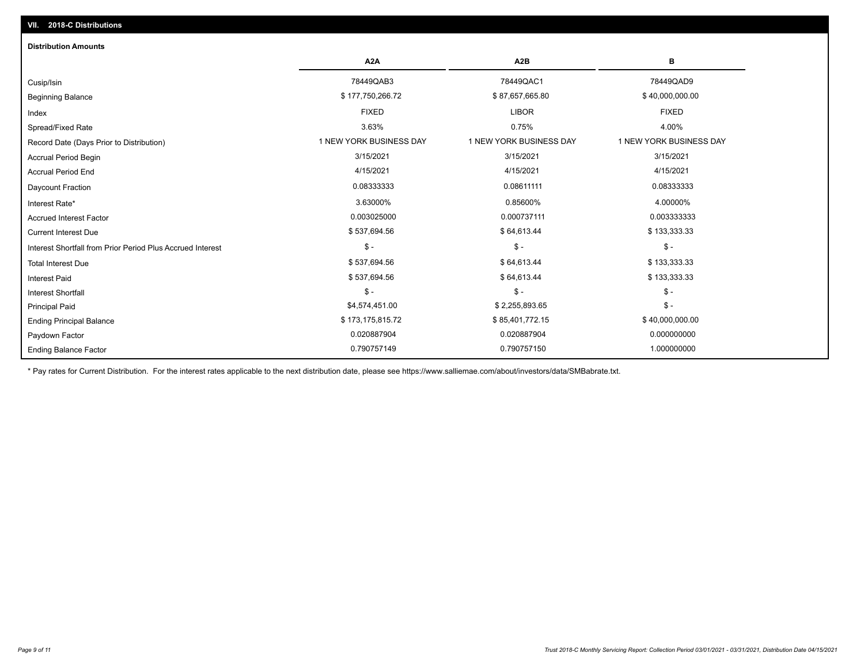| <b>Distribution Amounts</b>                                |                         |                         |                         |
|------------------------------------------------------------|-------------------------|-------------------------|-------------------------|
|                                                            | A <sub>2</sub> A        | A <sub>2</sub> B        | в                       |
| Cusip/Isin                                                 | 78449QAB3               | 78449QAC1               | 78449QAD9               |
| <b>Beginning Balance</b>                                   | \$177,750,266.72        | \$87,657,665.80         | \$40,000,000.00         |
| Index                                                      | <b>FIXED</b>            | <b>LIBOR</b>            | <b>FIXED</b>            |
| Spread/Fixed Rate                                          | 3.63%                   | 0.75%                   | 4.00%                   |
| Record Date (Days Prior to Distribution)                   | 1 NEW YORK BUSINESS DAY | 1 NEW YORK BUSINESS DAY | 1 NEW YORK BUSINESS DAY |
| <b>Accrual Period Begin</b>                                | 3/15/2021               | 3/15/2021               | 3/15/2021               |
| <b>Accrual Period End</b>                                  | 4/15/2021               | 4/15/2021               | 4/15/2021               |
| Daycount Fraction                                          | 0.08333333              | 0.08611111              | 0.08333333              |
| Interest Rate*                                             | 3.63000%                | 0.85600%                | 4.00000%                |
| <b>Accrued Interest Factor</b>                             | 0.003025000             | 0.000737111             | 0.003333333             |
| <b>Current Interest Due</b>                                | \$537,694.56            | \$64,613.44             | \$133,333.33            |
| Interest Shortfall from Prior Period Plus Accrued Interest | $\mathcal{S}$ -         | $\frac{1}{2}$           | $\mathcal{S}$ -         |
| <b>Total Interest Due</b>                                  | \$537,694.56            | \$64,613.44             | \$133,333.33            |
| <b>Interest Paid</b>                                       | \$537,694.56            | \$64,613.44             | \$133,333.33            |
| <b>Interest Shortfall</b>                                  | $\mathsf{\$}$ -         | $$ -$                   | $\mathsf{\$}$ -         |
| <b>Principal Paid</b>                                      | \$4,574,451.00          | \$2,255,893.65          | $\mathsf{\$}$ -         |
| <b>Ending Principal Balance</b>                            | \$173,175,815.72        | \$85,401,772.15         | \$40,000,000.00         |
| Paydown Factor                                             | 0.020887904             | 0.020887904             | 0.000000000             |
| <b>Ending Balance Factor</b>                               | 0.790757149             | 0.790757150             | 1.000000000             |

\* Pay rates for Current Distribution. For the interest rates applicable to the next distribution date, please see https://www.salliemae.com/about/investors/data/SMBabrate.txt.

**VII. 2018-C Distributions**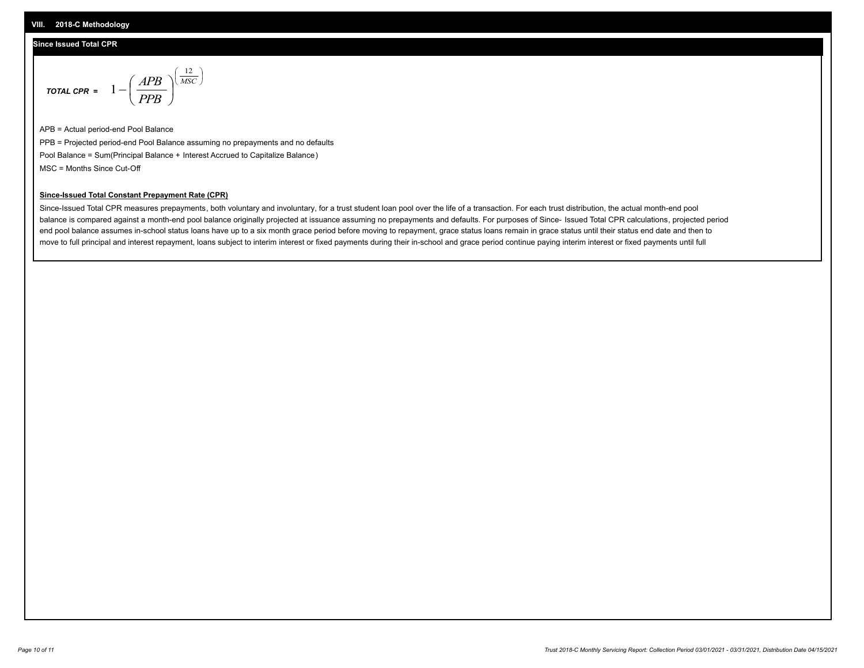#### **Since Issued Total CPR**

$$
\text{total CPR} = 1 - \left(\frac{APB}{PPB}\right)^{\left(\frac{12}{MSC}\right)}
$$

APB = Actual period-end Pool Balance PPB = Projected period-end Pool Balance assuming no prepayments and no defaults Pool Balance = Sum(Principal Balance + Interest Accrued to Capitalize Balance) MSC = Months Since Cut-Off

 $\mathsf{I}$ J λ

#### **Since-Issued Total Constant Prepayment Rate (CPR)**

Since-Issued Total CPR measures prepayments, both voluntary and involuntary, for a trust student loan pool over the life of a transaction. For each trust distribution, the actual month-end pool balance is compared against a month-end pool balance originally projected at issuance assuming no prepayments and defaults. For purposes of Since- Issued Total CPR calculations, projected period end pool balance assumes in-school status loans have up to a six month grace period before moving to repayment, grace status loans remain in grace status until their status end date and then to move to full principal and interest repayment, loans subject to interim interest or fixed payments during their in-school and grace period continue paying interim interest or fixed payments until full